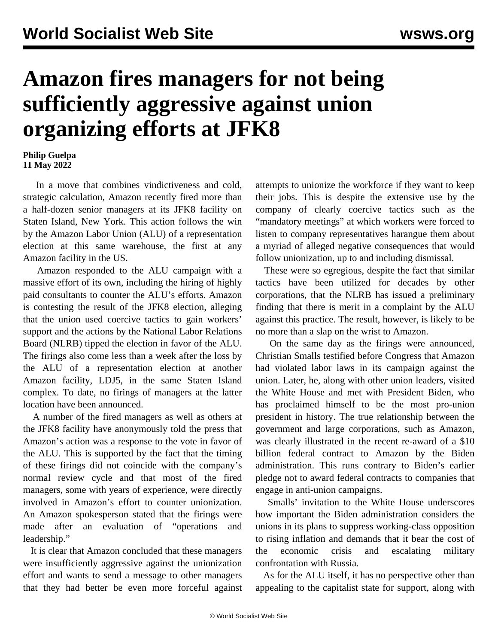## **Amazon fires managers for not being sufficiently aggressive against union organizing efforts at JFK8**

## **Philip Guelpa 11 May 2022**

 In a move that combines vindictiveness and cold, strategic calculation, Amazon recently fired more than a half-dozen senior managers at its JFK8 facility on Staten Island, New York. This action follows the win by the Amazon Labor Union (ALU) of a representation election at this same warehouse, the first at any Amazon facility in the US.

 Amazon responded to the ALU campaign with a massive effort of its own, including the hiring of highly paid consultants to counter the ALU's efforts. Amazon is contesting the result of the JFK8 election, alleging that the union used coercive tactics to gain workers' support and the actions by the National Labor Relations Board (NLRB) tipped the election in favor of the ALU. The firings also come less than a week after the loss by the ALU of a representation election at another Amazon facility, LDJ5, in the same Staten Island complex. To date, no firings of managers at the latter location have been announced.

 A number of the fired managers as well as others at the JFK8 facility have anonymously told the press that Amazon's action was a response to the vote in favor of the ALU. This is supported by the fact that the timing of these firings did not coincide with the company's normal review cycle and that most of the fired managers, some with years of experience, were directly involved in Amazon's effort to counter unionization. An Amazon spokesperson stated that the firings were made after an evaluation of "operations and leadership."

 It is clear that Amazon concluded that these managers were insufficiently aggressive against the unionization effort and wants to send a message to other managers that they had better be even more forceful against attempts to unionize the workforce if they want to keep their jobs. This is despite the extensive use by the company of clearly coercive tactics such as the "mandatory meetings" at which workers were forced to listen to company representatives harangue them about a myriad of alleged negative consequences that would follow unionization, up to and including dismissal.

 These were so egregious, despite the fact that similar tactics have been utilized for decades by other corporations, that the NLRB has issued a preliminary finding that there is merit in a complaint by the ALU against this practice. The result, however, is likely to be no more than a slap on the wrist to Amazon.

 On the same day as the firings were announced, Christian Smalls testified before Congress that Amazon had violated labor laws in its campaign against the union. Later, he, along with other union leaders, visited the White House and met with President Biden, who has proclaimed himself to be the most pro-union president in history. The true relationship between the government and large corporations, such as Amazon, was clearly illustrated in the recent re-award of a \$10 billion federal contract to Amazon by the Biden administration. This runs contrary to Biden's earlier pledge not to award federal contracts to companies that engage in anti-union campaigns.

 Smalls' invitation to the White House underscores how important the Biden administration considers the unions in its plans to suppress working-class opposition to rising inflation and demands that it bear the cost of the economic crisis and escalating military confrontation with Russia.

 As for the ALU itself, it has no perspective other than appealing to the capitalist state for support, along with